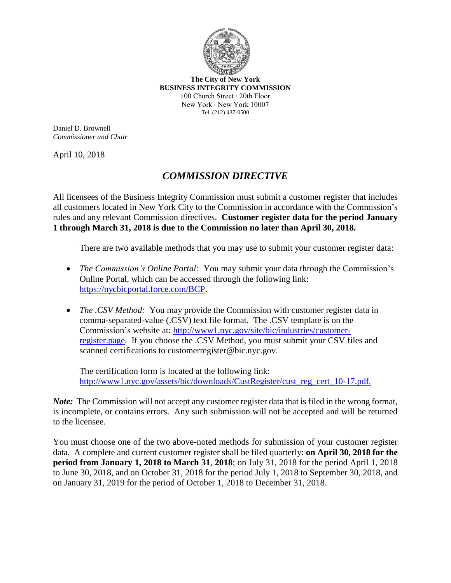

**The City of New York BUSINESS INTEGRITY COMMISSION** 100 Church Street ∙ 20th Floor New York ∙ New York 10007 Tel. (212) 437-0500

Daniel D. Brownell *Commissioner and Chair*

April 10, 2018

## *COMMISSION DIRECTIVE*

All licensees of the Business Integrity Commission must submit a customer register that includes all customers located in New York City to the Commission in accordance with the Commission's rules and any relevant Commission directives. **Customer register data for the period January 1 through March 31, 2018 is due to the Commission no later than April 30, 2018.**

There are two available methods that you may use to submit your customer register data:

- *The Commission's Online Portal:* You may submit your data through the Commission's Online Portal, which can be accessed through the following link: [https://nycbicportal.force.com/BCP.](https://nycbicportal.force.com/BCP)
- *The .CSV Method:* You may provide the Commission with customer register data in comma-separated-value (.CSV) text file format. The .CSV template is on the Commission's website at: http://www1.nyc.gov/site/bic/industries/customerregister.page. If you choose the .CSV Method, you must submit your CSV files and scanned certifications to customerregister@bic.nyc.gov.

The certification form is located at the following link: http://www1.nyc.gov/assets/bic/downloads/CustRegister/cust\_reg\_cert\_10-17.pdf.

*Note:* The Commission will not accept any customer register data that is filed in the wrong format, is incomplete, or contains errors. Any such submission will not be accepted and will be returned to the licensee.

You must choose one of the two above-noted methods for submission of your customer register data. A complete and current customer register shall be filed quarterly: **on April 30, 2018 for the period from January 1, 2018 to March 31**, **2018**; on July 31, 2018 for the period April 1, 2018 to June 30, 2018, and on October 31, 2018 for the period July 1, 2018 to September 30, 2018, and on January 31, 2019 for the period of October 1, 2018 to December 31, 2018.